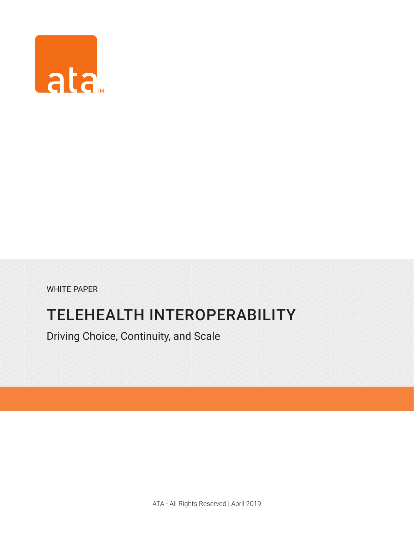

WHITE PAPER

# TELEHEALTH INTEROPERABILITY

Driving Choice, Continuity, and Scale

ATA - All Rights Reserved | April 2019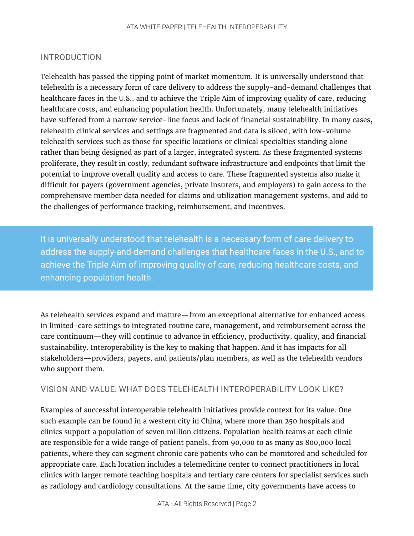# INTRODUCTION

Telehealth has passed the tipping point of market momentum. It is universally understood that telehealth is a necessary form of care delivery to address the supply-and-demand challenges that healthcare faces in the U.S., and to achieve the Triple Aim of improving quality of care, reducing healthcare costs, and enhancing population health. Unfortunately, many telehealth initiatives have suffered from a narrow service-line focus and lack of financial sustainability. In many cases, telehealth clinical services and settings are fragmented and data is siloed, with low-volume telehealth services such as those for specific locations or clinical specialties standing alone rather than being designed as part of a larger, integrated system. As these fragmented systems proliferate, they result in costly, redundant software infrastructure and endpoints that limit the potential to improve overall quality and access to care. These fragmented systems also make it difficult for payers (government agencies, private insurers, and employers) to gain access to the comprehensive member data needed for claims and utilization management systems, and add to the challenges of performance tracking, reimbursement, and incentives.

It is universally understood that telehealth is a necessary form of care delivery to address the supply-and-demand challenges that healthcare faces in the U.S., and to achieve the Triple Aim of improving quality of care, reducing healthcare costs, and enhancing population health.

As telehealth services expand and mature—from an exceptional alternative for enhanced access in limited-care settings to integrated routine care, management, and reimbursement across the care continuum—they will continue to advance in efficiency, productivity, quality, and financial sustainability. Interoperability is the key to making that happen. And it has impacts for all stakeholders—providers, payers, and patients/plan members, as well as the telehealth vendors who support them.

#### VISION AND VALUE: WHAT DOES TELEHEALTH INTEROPERABILITY LOOK LIKE?

Examples of successful interoperable telehealth initiatives provide context for its value. One such example can be found in a western city in China, where more than 250 hospitals and clinics support a population of seven million citizens. Population health teams at each clinic are responsible for a wide range of patient panels, from 90,000 to as many as 800,000 local patients, where they can segment chronic care patients who can be monitored and scheduled for appropriate care. Each location includes a telemedicine center to connect practitioners in local clinics with larger remote teaching hospitals and tertiary care centers for specialist services such as radiology and cardiology consultations. At the same time, city governments have access to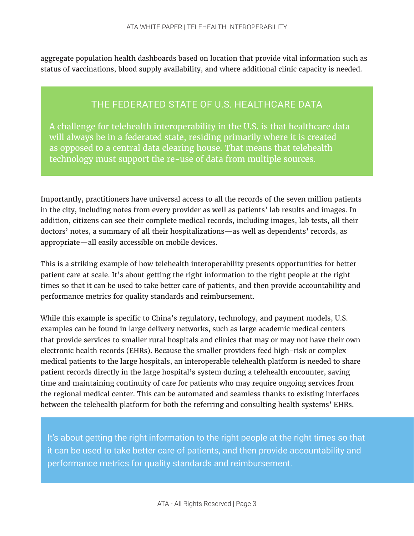aggregate population health dashboards based on location that provide vital information such as status of vaccinations, blood supply availability, and where additional clinic capacity is needed.

# THE FEDERATED STATE OF U.S. HEALTHCARE DATA

A challenge for telehealth interoperability in the U.S. is that healthcare data will always be in a federated state, residing primarily where it is created as opposed to a central data clearing house. That means that telehealth technology must support the re-use of data from multiple sources.

Importantly, practitioners have universal access to all the records of the seven million patients in the city, including notes from every provider as well as patients' lab results and images. In addition, citizens can see their complete medical records, including images, lab tests, all their doctors' notes, a summary of all their hospitalizations—as well as dependents' records, as appropriate—all easily accessible on mobile devices.

This is a striking example of how telehealth interoperability presents opportunities for better patient care at scale. It's about getting the right information to the right people at the right times so that it can be used to take better care of patients, and then provide accountability and performance metrics for quality standards and reimbursement.

While this example is specific to China's regulatory, technology, and payment models, U.S. examples can be found in large delivery networks, such as large academic medical centers that provide services to smaller rural hospitals and clinics that may or may not have their own electronic health records (EHRs). Because the smaller providers feed high-risk or complex medical patients to the large hospitals, an interoperable telehealth platform is needed to share patient records directly in the large hospital's system during a telehealth encounter, saving time and maintaining continuity of care for patients who may require ongoing services from the regional medical center. This can be automated and seamless thanks to existing interfaces between the telehealth platform for both the referring and consulting health systems' EHRs.

It's about getting the right information to the right people at the right times so that it can be used to take better care of patients, and then provide accountability and performance metrics for quality standards and reimbursement.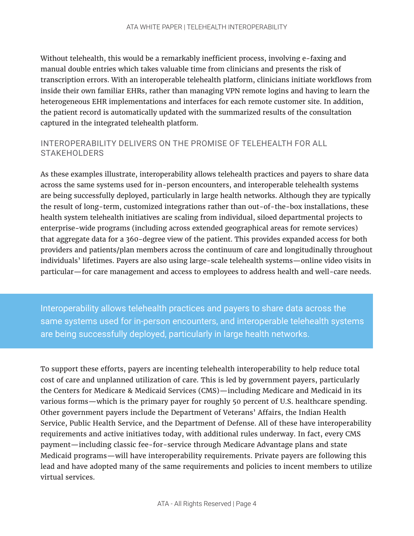Without telehealth, this would be a remarkably inefficient process, involving e-faxing and manual double entries which takes valuable time from clinicians and presents the risk of transcription errors. With an interoperable telehealth platform, clinicians initiate workflows from inside their own familiar EHRs, rather than managing VPN remote logins and having to learn the heterogeneous EHR implementations and interfaces for each remote customer site. In addition, the patient record is automatically updated with the summarized results of the consultation captured in the integrated telehealth platform.

# INTEROPERABILITY DELIVERS ON THE PROMISE OF TELEHEALTH FOR ALL STAKEHOLDERS

As these examples illustrate, interoperability allows telehealth practices and payers to share data across the same systems used for in-person encounters, and interoperable telehealth systems are being successfully deployed, particularly in large health networks. Although they are typically the result of long-term, customized integrations rather than out-of-the-box installations, these health system telehealth initiatives are scaling from individual, siloed departmental projects to enterprise-wide programs (including across extended geographical areas for remote services) that aggregate data for a 360-degree view of the patient. This provides expanded access for both providers and patients/plan members across the continuum of care and longitudinally throughout individuals' lifetimes. Payers are also using large-scale telehealth systems—online video visits in particular—for care management and access to employees to address health and well-care needs.

Interoperability allows telehealth practices and payers to share data across the same systems used for in-person encounters, and interoperable telehealth systems are being successfully deployed, particularly in large health networks.

To support these efforts, payers are incenting telehealth interoperability to help reduce total cost of care and unplanned utilization of care. This is led by government payers, particularly the Centers for Medicare & Medicaid Services (CMS)—including Medicare and Medicaid in its various forms—which is the primary payer for roughly 50 percent of U.S. healthcare spending. Other government payers include the Department of Veterans' Affairs, the Indian Health Service, Public Health Service, and the Department of Defense. All of these have interoperability requirements and active initiatives today, with additional rules underway. In fact, every CMS payment—including classic fee-for-service through Medicare Advantage plans and state Medicaid programs—will have interoperability requirements. Private payers are following this lead and have adopted many of the same requirements and policies to incent members to utilize virtual services.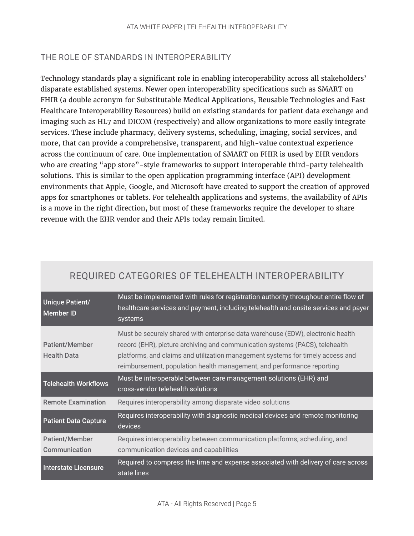# THE ROLE OF STANDARDS IN INTEROPERABILITY

Technology standards play a significant role in enabling interoperability across all stakeholders' disparate established systems. Newer open interoperability specifications such as SMART on FHIR (a double acronym for Substitutable Medical Applications, Reusable Technologies and Fast Healthcare Interoperability Resources) build on existing standards for patient data exchange and imaging such as HL7 and DICOM (respectively) and allow organizations to more easily integrate services. These include pharmacy, delivery systems, scheduling, imaging, social services, and more, that can provide a comprehensive, transparent, and high-value contextual experience across the continuum of care. One implementation of SMART on FHIR is used by EHR vendors who are creating "app store"-style frameworks to support interoperable third-party telehealth solutions. This is similar to the open application programming interface (API) development environments that Apple, Google, and Microsoft have created to support the creation of approved apps for smartphones or tablets. For telehealth applications and systems, the availability of APIs is a move in the right direction, but most of these frameworks require the developer to share revenue with the EHR vendor and their APIs today remain limited.

| <b>Unique Patient/</b><br>Member <sub>ID</sub> | Must be implemented with rules for registration authority throughout entire flow of<br>healthcare services and payment, including telehealth and onsite services and payer<br>systems                                                                                                                                       |
|------------------------------------------------|-----------------------------------------------------------------------------------------------------------------------------------------------------------------------------------------------------------------------------------------------------------------------------------------------------------------------------|
| <b>Patient/Member</b><br><b>Health Data</b>    | Must be securely shared with enterprise data warehouse (EDW), electronic health<br>record (EHR), picture archiving and communication systems (PACS), telehealth<br>platforms, and claims and utilization management systems for timely access and<br>reimbursement, population health management, and performance reporting |
| <b>Telehealth Workflows</b>                    | Must be interoperable between care management solutions (EHR) and<br>cross-vendor telehealth solutions                                                                                                                                                                                                                      |
| <b>Remote Examination</b>                      | Requires interoperability among disparate video solutions                                                                                                                                                                                                                                                                   |
| <b>Patient Data Capture</b>                    | Requires interoperability with diagnostic medical devices and remote monitoring<br>devices                                                                                                                                                                                                                                  |
| <b>Patient/Member</b>                          | Requires interoperability between communication platforms, scheduling, and                                                                                                                                                                                                                                                  |
| Communication                                  | communication devices and capabilities                                                                                                                                                                                                                                                                                      |
| <b>Interstate Licensure</b>                    | Required to compress the time and expense associated with delivery of care across<br>state lines                                                                                                                                                                                                                            |

# REQUIRED CATEGORIES OF TELEHEALTH INTEROPERABILITY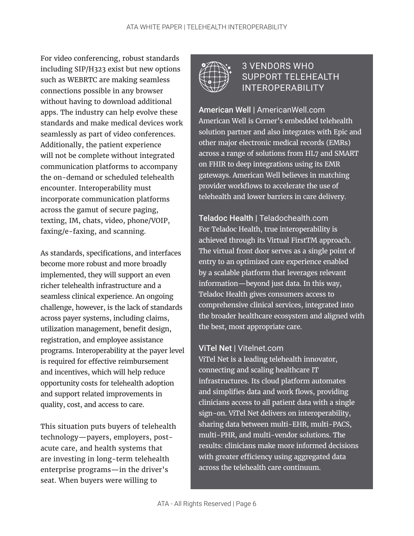For video conferencing, robust standards including SIP/H323 exist but new options such as WEBRTC are making seamless connections possible in any browser without having to download additional apps. The industry can help evolve these standards and make medical devices work seamlessly as part of video conferences. Additionally, the patient experience will not be complete without integrated communication platforms to accompany the on-demand or scheduled telehealth encounter. Interoperability must incorporate communication platforms across the gamut of secure paging, texting, IM, chats, video, phone/VOIP, faxing/e-faxing, and scanning.

As standards, specifications, and interfaces become more robust and more broadly implemented, they will support an even richer telehealth infrastructure and a seamless clinical experience. An ongoing challenge, however, is the lack of standards across payer systems, including claims, utilization management, benefit design, registration, and employee assistance programs. Interoperability at the payer level is required for effective reimbursement and incentives, which will help reduce opportunity costs for telehealth adoption and support related improvements in quality, cost, and access to care.

This situation puts buyers of telehealth technology—payers, employers, postacute care, and health systems that are investing in long-term telehealth enterprise programs—in the driver's seat. When buyers were willing to



# 3 VENDORS WHO SUPPORT TELEHEALTH INTEROPERABILITY

American Well | [AmericanWell.com](https://www.americanwell.com) American Well is Cerner's embedded telehealth solution partner and also integrates with Epic and other major electronic medical records (EMRs) across a range of solutions from HL7 and SMART on FHIR to deep integrations using its EMR gateways. American Well believes in matching provider workflows to accelerate the use of telehealth and lower barriers in care delivery.

Teladoc Health | [Teladochealth.com](https://teladochealth.com/en/) For Teladoc Health, true interoperability is achieved through its Virtual FirstTM approach. The virtual front door serves as a single point of entry to an optimized care experience enabled by a scalable platform that leverages relevant information—beyond just data. In this way, Teladoc Health gives consumers access to comprehensive clinical services, integrated into the broader healthcare ecosystem and aligned with the best, most appropriate care.

## ViTel Net | [Vitelnet.com](http://www.vitelnet.com)

ViTel Net is a leading telehealth innovator, connecting and scaling healthcare IT infrastructures. Its cloud platform automates and simplifies data and work flows, providing clinicians access to all patient data with a single sign-on. ViTel Net delivers on interoperability, sharing data between multi-EHR, multi-PACS, multi-PHR, and multi-vendor solutions. The results: clinicians make more informed decisions with greater efficiency using aggregated data across the telehealth care continuum.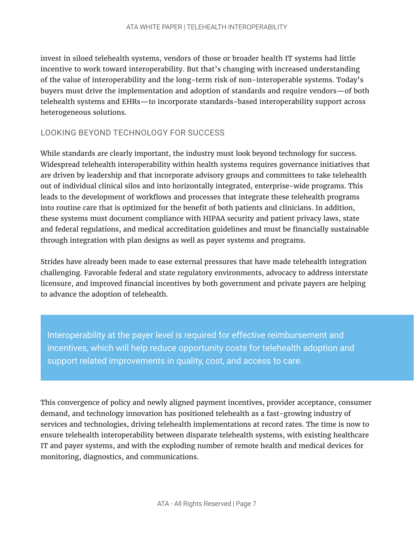invest in siloed telehealth systems, vendors of those or broader health IT systems had little incentive to work toward interoperability. But that's changing with increased understanding of the value of interoperability and the long-term risk of non-interoperable systems. Today's buyers must drive the implementation and adoption of standards and require vendors—of both telehealth systems and EHRs—to incorporate standards-based interoperability support across heterogeneous solutions.

## LOOKING BEYOND TECHNOLOGY FOR SUCCESS

While standards are clearly important, the industry must look beyond technology for success. Widespread telehealth interoperability within health systems requires governance initiatives that are driven by leadership and that incorporate advisory groups and committees to take telehealth out of individual clinical silos and into horizontally integrated, enterprise-wide programs. This leads to the development of workflows and processes that integrate these telehealth programs into routine care that is optimized for the benefit of both patients and clinicians. In addition, these systems must document compliance with HIPAA security and patient privacy laws, state and federal regulations, and medical accreditation guidelines and must be financially sustainable through integration with plan designs as well as payer systems and programs.

Strides have already been made to ease external pressures that have made telehealth integration challenging. Favorable federal and state regulatory environments, advocacy to address interstate licensure, and improved financial incentives by both government and private payers are helping to advance the adoption of telehealth.

Interoperability at the payer level is required for effective reimbursement and incentives, which will help reduce opportunity costs for telehealth adoption and support related improvements in quality, cost, and access to care.

This convergence of policy and newly aligned payment incentives, provider acceptance, consumer demand, and technology innovation has positioned telehealth as a fast-growing industry of services and technologies, driving telehealth implementations at record rates. The time is now to ensure telehealth interoperability between disparate telehealth systems, with existing healthcare IT and payer systems, and with the exploding number of remote health and medical devices for monitoring, diagnostics, and communications.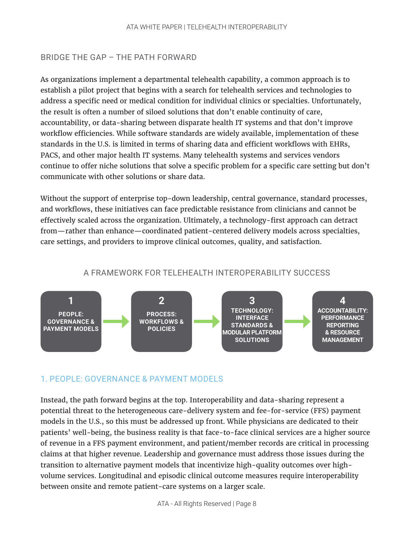# BRIDGE THE GAP – THE PATH FORWARD

As organizations implement a departmental telehealth capability, a common approach is to establish a pilot project that begins with a search for telehealth services and technologies to address a specific need or medical condition for individual clinics or specialties. Unfortunately, the result is often a number of siloed solutions that don't enable continuity of care, accountability, or data-sharing between disparate health IT systems and that don't improve workflow efficiencies. While software standards are widely available, implementation of these standards in the U.S. is limited in terms of sharing data and efficient workflows with EHRs, PACS, and other major health IT systems. Many telehealth systems and services vendors continue to offer niche solutions that solve a specific problem for a specific care setting but don't communicate with other solutions or share data.

Without the support of enterprise top-down leadership, central governance, standard processes, and workflows, these initiatives can face predictable resistance from clinicians and cannot be effectively scaled across the organization. Ultimately, a technology-first approach can detract from—rather than enhance—coordinated patient-centered delivery models across specialties, care settings, and providers to improve clinical outcomes, quality, and satisfaction.

## A FRAMEWORK FOR TELEHEALTH INTEROPERABILITY SUCCESS



#### 1. PEOPLE: GOVERNANCE & PAYMENT MODELS

Instead, the path forward begins at the top. Interoperability and data-sharing represent a potential threat to the heterogeneous care-delivery system and fee-for-service (FFS) payment models in the U.S., so this must be addressed up front. While physicians are dedicated to their patients' well-being, the business reality is that face-to-face clinical services are a higher source of revenue in a FFS payment environment, and patient/member records are critical in processing claims at that higher revenue. Leadership and governance must address those issues during the transition to alternative payment models that incentivize high-quality outcomes over highvolume services. Longitudinal and episodic clinical outcome measures require interoperability between onsite and remote patient-care systems on a larger scale.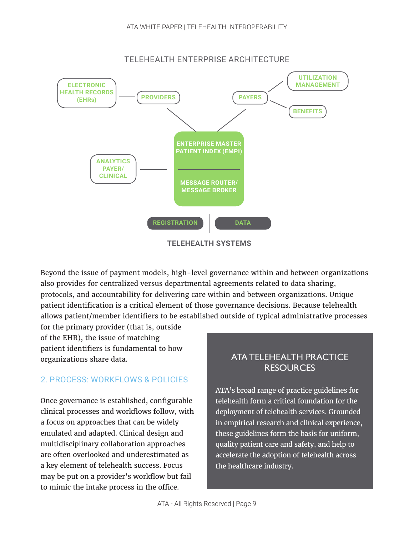

**TELEHEALTH SYSTEMS**

Beyond the issue of payment models, high-level governance within and between organizations also provides for centralized versus departmental agreements related to data sharing, protocols, and accountability for delivering care within and between organizations. Unique patient identification is a critical element of those governance decisions. Because telehealth allows patient/member identifiers to be established outside of typical administrative processes

for the primary provider (that is, outside of the EHR), the issue of matching patient identifiers is fundamental to how organizations share data.

# 2. PROCESS: WORKFLOWS & POLICIES

Once governance is established, configurable clinical processes and workflows follow, with a focus on approaches that can be widely emulated and adapted. Clinical design and multidisciplinary collaboration approaches are often overlooked and underestimated as a key element of telehealth success. Focus may be put on a provider's workflow but fail to mimic the intake process in the office.

# ATA TELEHEALTH PRACTICE **RESOURCES**

ATA's broad range of practice guidelines for telehealth form a critical foundation for the deployment of telehealth services. Grounded in empirical research and clinical experience, these guidelines form the basis for uniform, quality patient care and safety, and help to accelerate the adoption of telehealth across the healthcare industry.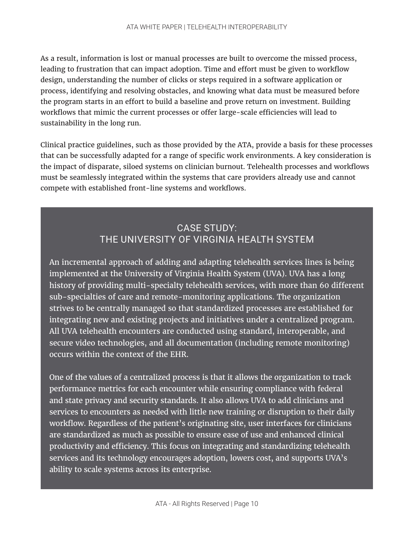As a result, information is lost or manual processes are built to overcome the missed process, leading to frustration that can impact adoption. Time and effort must be given to workflow design, understanding the number of clicks or steps required in a software application or process, identifying and resolving obstacles, and knowing what data must be measured before the program starts in an effort to build a baseline and prove return on investment. Building workflows that mimic the current processes or offer large-scale efficiencies will lead to sustainability in the long run.

Clinical practice guidelines, such as those provided by the ATA, provide a basis for these processes that can be successfully adapted for a range of specific work environments. A key consideration is the impact of disparate, siloed systems on clinician burnout. Telehealth processes and workflows must be seamlessly integrated within the systems that care providers already use and cannot compete with established front-line systems and workflows.

# CASE STUDY: THE UNIVERSITY OF VIRGINIA HEALTH SYSTEM

An incremental approach of adding and adapting telehealth services lines is being implemented at the University of Virginia Health System (UVA). UVA has a long history of providing multi-specialty telehealth services, with more than 60 different sub-specialties of care and remote-monitoring applications. The organization strives to be centrally managed so that standardized processes are established for integrating new and existing projects and initiatives under a centralized program. All UVA telehealth encounters are conducted using standard, interoperable, and secure video technologies, and all documentation (including remote monitoring) occurs within the context of the EHR.

One of the values of a centralized process is that it allows the organization to track performance metrics for each encounter while ensuring compliance with federal and state privacy and security standards. It also allows UVA to add clinicians and services to encounters as needed with little new training or disruption to their daily workflow. Regardless of the patient's originating site, user interfaces for clinicians are standardized as much as possible to ensure ease of use and enhanced clinical productivity and efficiency. This focus on integrating and standardizing telehealth services and its technology encourages adoption, lowers cost, and supports UVA's ability to scale systems across its enterprise.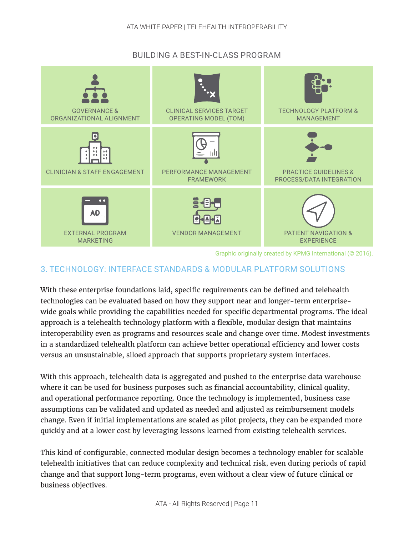## BUILDING A BEST-IN-CLASS PROGRAM



Graphic originally created by KPMG International (© 2016).

# 3. TECHNOLOGY: INTERFACE STANDARDS & MODULAR PLATFORM SOLUTIONS

With these enterprise foundations laid, specific requirements can be defined and telehealth technologies can be evaluated based on how they support near and longer-term enterprisewide goals while providing the capabilities needed for specific departmental programs. The ideal approach is a telehealth technology platform with a flexible, modular design that maintains interoperability even as programs and resources scale and change over time. Modest investments in a standardized telehealth platform can achieve better operational efficiency and lower costs versus an unsustainable, siloed approach that supports proprietary system interfaces.

With this approach, telehealth data is aggregated and pushed to the enterprise data warehouse where it can be used for business purposes such as financial accountability, clinical quality, and operational performance reporting. Once the technology is implemented, business case assumptions can be validated and updated as needed and adjusted as reimbursement models change. Even if initial implementations are scaled as pilot projects, they can be expanded more quickly and at a lower cost by leveraging lessons learned from existing telehealth services.

This kind of configurable, connected modular design becomes a technology enabler for scalable telehealth initiatives that can reduce complexity and technical risk, even during periods of rapid change and that support long-term programs, even without a clear view of future clinical or business objectives.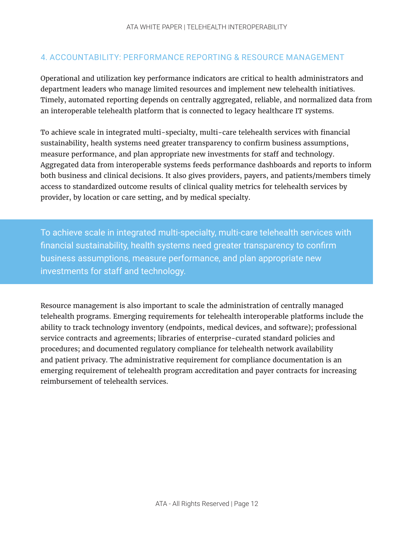# 4. ACCOUNTABILITY: PERFORMANCE REPORTING & RESOURCE MANAGEMENT

Operational and utilization key performance indicators are critical to health administrators and department leaders who manage limited resources and implement new telehealth initiatives. Timely, automated reporting depends on centrally aggregated, reliable, and normalized data from an interoperable telehealth platform that is connected to legacy healthcare IT systems.

To achieve scale in integrated multi-specialty, multi-care telehealth services with financial sustainability, health systems need greater transparency to confirm business assumptions, measure performance, and plan appropriate new investments for staff and technology. Aggregated data from interoperable systems feeds performance dashboards and reports to inform both business and clinical decisions. It also gives providers, payers, and patients/members timely access to standardized outcome results of clinical quality metrics for telehealth services by provider, by location or care setting, and by medical specialty.

To achieve scale in integrated multi-specialty, multi-care telehealth services with financial sustainability, health systems need greater transparency to confirm business assumptions, measure performance, and plan appropriate new investments for staff and technology.

Resource management is also important to scale the administration of centrally managed telehealth programs. Emerging requirements for telehealth interoperable platforms include the ability to track technology inventory (endpoints, medical devices, and software); professional service contracts and agreements; libraries of enterprise-curated standard policies and procedures; and documented regulatory compliance for telehealth network availability and patient privacy. The administrative requirement for compliance documentation is an emerging requirement of telehealth program accreditation and payer contracts for increasing reimbursement of telehealth services.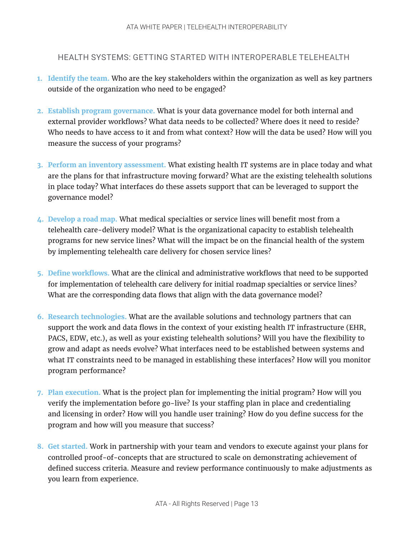#### HEALTH SYSTEMS: GETTING STARTED WITH INTEROPERABLE TELEHEALTH

- **1. Identify the team.** Who are the key stakeholders within the organization as well as key partners outside of the organization who need to be engaged?
- **2. Establish program governance.** What is your data governance model for both internal and external provider workflows? What data needs to be collected? Where does it need to reside? Who needs to have access to it and from what context? How will the data be used? How will you measure the success of your programs?
- **3. Perform an inventory assessment.** What existing health IT systems are in place today and what are the plans for that infrastructure moving forward? What are the existing telehealth solutions in place today? What interfaces do these assets support that can be leveraged to support the governance model?
- **4. Develop a road map.** What medical specialties or service lines will benefit most from a telehealth care-delivery model? What is the organizational capacity to establish telehealth programs for new service lines? What will the impact be on the financial health of the system by implementing telehealth care delivery for chosen service lines?
- **5. Define workflows.** What are the clinical and administrative workflows that need to be supported for implementation of telehealth care delivery for initial roadmap specialties or service lines? What are the corresponding data flows that align with the data governance model?
- **6. Research technologies.** What are the available solutions and technology partners that can support the work and data flows in the context of your existing health IT infrastructure (EHR, PACS, EDW, etc.), as well as your existing telehealth solutions? Will you have the flexibility to grow and adapt as needs evolve? What interfaces need to be established between systems and what IT constraints need to be managed in establishing these interfaces? How will you monitor program performance?
- **7. Plan execution.** What is the project plan for implementing the initial program? How will you verify the implementation before go-live? Is your staffing plan in place and credentialing and licensing in order? How will you handle user training? How do you define success for the program and how will you measure that success?
- **8. Get started.** Work in partnership with your team and vendors to execute against your plans for controlled proof-of-concepts that are structured to scale on demonstrating achievement of defined success criteria. Measure and review performance continuously to make adjustments as you learn from experience.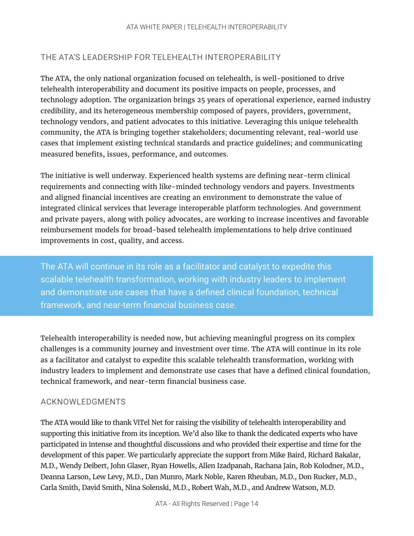# THE ATA'S LEADERSHIP FOR TELEHEALTH INTEROPERABILITY

The ATA, the only national organization focused on telehealth, is well-positioned to drive telehealth interoperability and document its positive impacts on people, processes, and technology adoption. The organization brings 25 years of operational experience, earned industry credibility, and its heterogeneous membership composed of payers, providers, government, technology vendors, and patient advocates to this initiative. Leveraging this unique telehealth community, the ATA is bringing together stakeholders; documenting relevant, real-world use cases that implement existing technical standards and practice guidelines; and communicating measured benefits, issues, performance, and outcomes.

The initiative is well underway. Experienced health systems are defining near-term clinical requirements and connecting with like-minded technology vendors and payers. Investments and aligned financial incentives are creating an environment to demonstrate the value of integrated clinical services that leverage interoperable platform technologies. And government and private payers, along with policy advocates, are working to increase incentives and favorable reimbursement models for broad-based telehealth implementations to help drive continued improvements in cost, quality, and access.

The ATA will continue in its role as a facilitator and catalyst to expedite this scalable telehealth transformation, working with industry leaders to implement and demonstrate use cases that have a defined clinical foundation, technical framework, and near-term financial business case.

Telehealth interoperability is needed now, but achieving meaningful progress on its complex challenges is a community journey and investment over time. The ATA will continue in its role as a facilitator and catalyst to expedite this scalable telehealth transformation, working with industry leaders to implement and demonstrate use cases that have a defined clinical foundation, technical framework, and near-term financial business case.

## ACKNOWLEDGMENTS

The ATA would like to thank ViTel Net for raising the visibility of telehealth interoperability and supporting this initiative from its inception. We'd also like to thank the dedicated experts who have participated in intense and thoughtful discussions and who provided their expertise and time for the development of this paper. We particularly appreciate the support from Mike Baird, Richard Bakalar, M.D., Wendy Deibert, John Glaser, Ryan Howells, Allen Izadpanah, Rachana Jain, Rob Kolodner, M.D., Deanna Larson, Lew Levy, M.D., Dan Munro, Mark Noble, Karen Rheuban, M.D., Don Rucker, M.D., Carla Smith, David Smith, Nina Solenski, M.D., Robert Wah, M.D., and Andrew Watson, M.D.